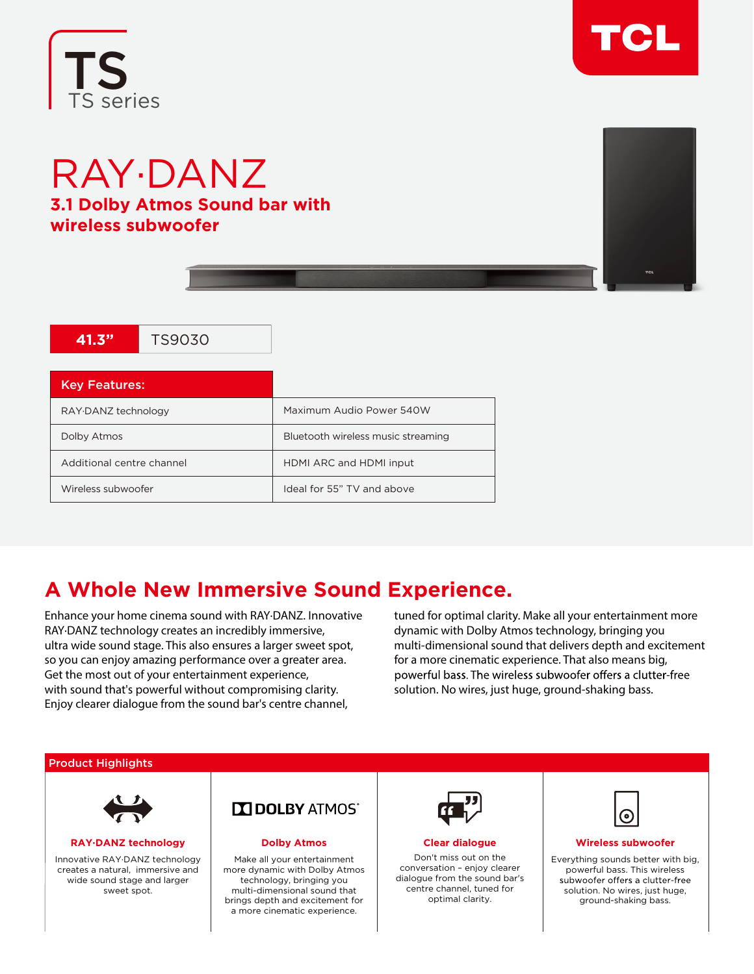



# RAY·DANZ **3.1 Dolby Atmos Sound bar with wireless subwoofer**

**41.3"** TS9030



| <b>Key Features:</b>      |                                    |
|---------------------------|------------------------------------|
| RAY DANZ technology       | Maximum Audio Power 540W           |
| Dolby Atmos               | Bluetooth wireless music streaming |
| Additional centre channel | HDMI ARC and HDMI input            |
| Wireless subwoofer        | Ideal for 55" TV and above         |

# **A Whole New Immersive Sound Experience.**

Enhance your home cinema sound with RAY∙DANZ. Innovative RAY∙DANZ technology creates an incredibly immersive, ultra wide sound stage. This also ensures a larger sweet spot, so you can enjoy amazing performance over a greater area. Get the most out of your entertainment experience, with sound that's powerful without compromising clarity. Enjoy clearer dialogue from the sound bar's centre channel,

tuned for optimal clarity. Make all your entertainment more dynamic with Dolby Atmos technology, bringing you multi-dimensional sound that delivers depth and excitement for a more cinematic experience. That also means big, powerful bass. The wireless subwoofer offers a clutter-free solution. No wires, just huge, ground-shaking bass.

## Product Highlights



**RAY·DANZ technology** 

Innovative RAY·DANZ technology creates a natural, immersive and wide sound stage and larger sweet spot.



### **Dolby Atmos**

Make all your entertainment more dynamic with Dolby Atmos technology, bringing you multi-dimensional sound that brings depth and excitement for a more cinematic experience.



**Clear dialogue**

Don't miss out on the conversation – enjoy clearer dialogue from the sound bar's centre channel, tuned for optimal clarity.



### **Wireless subwoofer**

Everything sounds better with big, powerful bass. This wireless solution. No wires, just huge, ground-shaking bass.